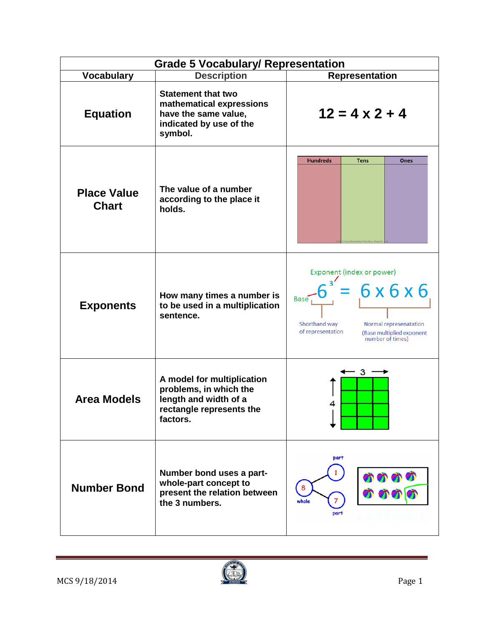| <b>Grade 5 Vocabulary/ Representation</b> |                                                                                                                       |                                                                                                                                                              |  |
|-------------------------------------------|-----------------------------------------------------------------------------------------------------------------------|--------------------------------------------------------------------------------------------------------------------------------------------------------------|--|
| <b>Vocabulary</b>                         | <b>Description</b>                                                                                                    | <b>Representation</b>                                                                                                                                        |  |
| <b>Equation</b>                           | <b>Statement that two</b><br>mathematical expressions<br>have the same value,<br>indicated by use of the<br>symbol.   | $12 = 4 \times 2 + 4$                                                                                                                                        |  |
| <b>Place Value</b><br><b>Chart</b>        | The value of a number<br>according to the place it<br>holds.                                                          | <b>Tens</b><br><b>Ones</b><br><b>Hundreds</b>                                                                                                                |  |
| <b>Exponents</b>                          | How many times a number is<br>to be used in a multiplication<br>sentence.                                             | Exponent (index or power)<br>6x6x6<br>Base,<br>Shorthand way<br>Normal represenatation<br>of representation<br>(Base multiplied exponent<br>number of times) |  |
| <b>Area Models</b>                        | A model for multiplication<br>problems, in which the<br>length and width of a<br>rectangle represents the<br>factors. | з                                                                                                                                                            |  |
| <b>Number Bond</b>                        | Number bond uses a part-<br>whole-part concept to<br>present the relation between<br>the 3 numbers.                   | part<br>のののの<br>8<br>whole<br>part                                                                                                                           |  |

 $\sim$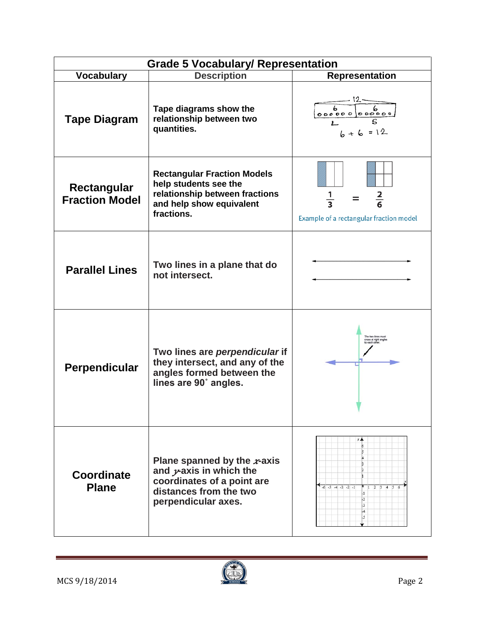| <b>Grade 5 Vocabulary/ Representation</b> |                                                                                                                                             |                                                                                 |  |
|-------------------------------------------|---------------------------------------------------------------------------------------------------------------------------------------------|---------------------------------------------------------------------------------|--|
| <b>Vocabulary</b>                         | <b>Description</b>                                                                                                                          | Representation                                                                  |  |
| <b>Tape Diagram</b>                       | Tape diagrams show the<br>relationship between two<br>quantities.                                                                           | $\begin{array}{c c} & b & b \ \hline o & o & o & o \end{array}$<br>$6 + 6 = 12$ |  |
| Rectangular<br><b>Fraction Model</b>      | <b>Rectangular Fraction Models</b><br>help students see the<br>relationship between fractions<br>and help show equivalent<br>fractions.     | $\frac{1}{3}$<br>Example of a rectangular fraction model                        |  |
| <b>Parallel Lines</b>                     | Two lines in a plane that do<br>not intersect.                                                                                              |                                                                                 |  |
| Perpendicular                             | Two lines are perpendicular if<br>they intersect, and any of the<br>angles formed between the<br>lines are 90° angles.                      | sa at right an                                                                  |  |
| Coordinate<br><b>Plane</b>                | Plane spanned by the $x$ -axis<br>and $y$ -axis in which the<br>coordinates of a point are<br>distances from the two<br>perpendicular axes. | $-6$ $-5$ $-4$ $-3$ $-2$ $-1$<br>234<br>$\mathsf{I}2$<br>L3<br>L4               |  |

 $\sim$